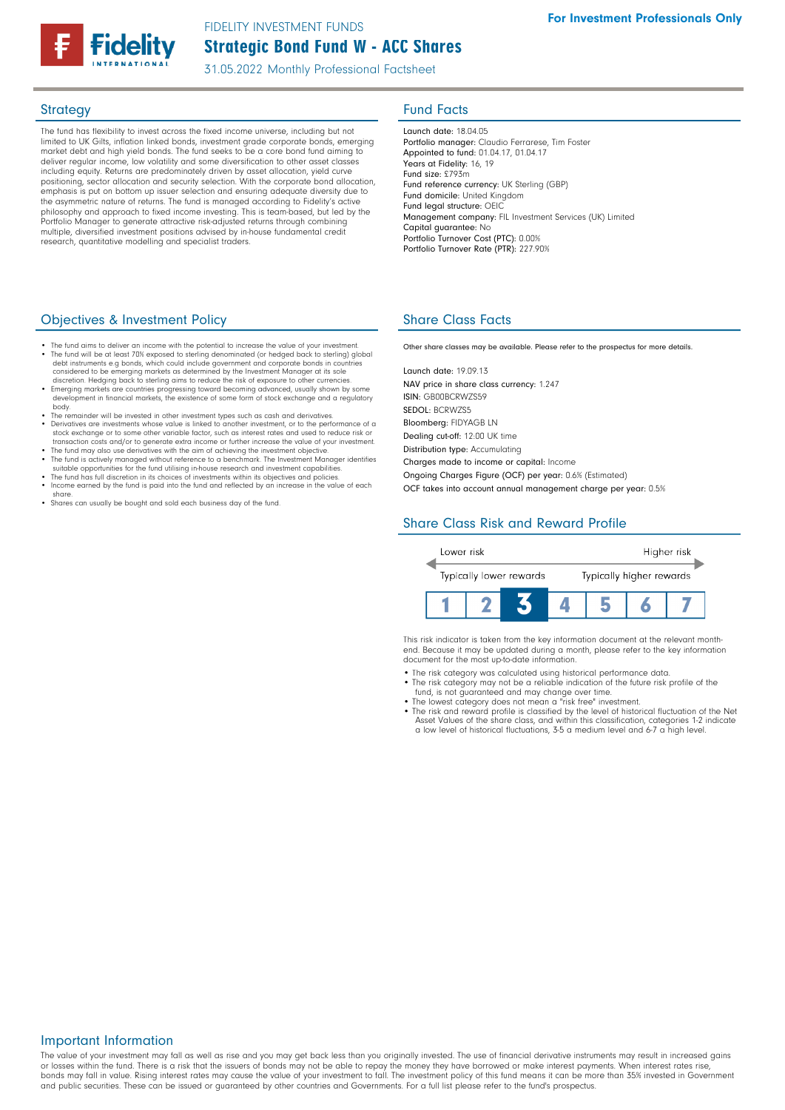# Strategic Bond Fund W - ACC Shares FIDELITY INVESTMENT FUNDS

31.05.2022 Monthly Professional Factsheet

The fund has flexibility to invest across the fixed income universe, including but not limited to UK Gilts, inflation linked bonds, investment grade corporate bonds, emerging market debt and high yield bonds. The fund seeks to be a core bond fund aiming to deliver regular income, low volatility and some diversification to other asset classes including equity. Returns are predominately driven by asset allocation, yield curve positioning, sector allocation and security selection. With the corporate bond allocation, .<br>emphasis is put on bottom up issuer selection and ensuring adequate diversity due to the asymmetric nature of returns. The fund is managed according to Fidelity's active philosophy and approach to fixed income investing. This is team-based, but led by the Portfolio Manager to generate attractive risk-adjusted returns through combining multiple, diversified investment positions advised by in-house fundamental credit research, quantitative modelling and specialist traders.

## Objectives & Investment Policy

- The fund aims to deliver an income with the potential to increase the value of your investment. • The fund will be at least 70% exposed to sterling denominated (or hedged back to sterling) global debt instruments e.g bonds, which could include government and corporate bonds in countries
- considered to be emerging markets as determined by the Investment Manager at its sole<br>discretion. Hedging back to sterling aims to reduce the risk of exposure to other currencies.<br>• Emerging markets are countries progressi development in financial markets, the existence of some form of stock exchange and a regulatory body.
- The remainder will be invested in other investment types such as cash and derivatives. • Derivatives are investments whose value is linked to another investment, or to the performance of a stock exchange or to some other variable factor, such as interest rates and used to reduce risk or transaction costs and/or to generate extra income or further increase the value of your investment.
- The fund may also use derivatives with the aim of achieving the investment objective. The fund is actively managed without reference to a benchmark. The Investment Manager identifies
- suitable opportunities for the fund utilising in-house research and investment capabilities.<br>• The fund has full discretion in its choices of investments within its objectives and policies.<br>• Income earned by the fund is
- share.
- Shares can usually be bought and sold each business day of the fund.

## **Strategy Fund Facts**

Launch date: 18.04.05 Portfolio manager: Claudio Ferrarese, Tim Foster Appointed to fund: 01.04.17, 01.04.17 Years at Fidelity: 16, 19 Fund size: £793m Fund reference currency: UK Sterling (GBP) Fund domicile: United Kingdom Fund legal structure: OEIC Management company: FIL Investment Services (UK) Limited Capital guarantee: No Portfolio Turnover Cost (PTC): 0.00% Portfolio Turnover Rate (PTR): 227.90%

# Share Class Facts

Other share classes may be available. Please refer to the prospectus for more details.

Launch date: 19.09.13 NAV price in share class currency: 1.247 ISIN: GB00BCRWZS59 SEDOL: BCRWZS5 Bloomberg: FIDYAGB LN Dealing cut-off: 12:00 UK time Distribution type: Accumulating Charges made to income or capital: Income

Ongoing Charges Figure (OCF) per year: 0.6% (Estimated) OCF takes into account annual management charge per year: 0.5%

# Share Class Risk and Reward Profile



This risk indicator is taken from the key information document at the relevant monthend. Because it may be updated during a month, please refer to the key information document for the most up-to-date information.

- The risk category was calculated using historical performance data
- The risk category may not be a reliable indication of the future risk profile of the fund, is not guaranteed and may change over time.
- 
- The lowest category does not mean a "risk free" investment. The risk and reward profile is classified by the level of historical fluctuation of the Net Asset Values of the share class, and within this classification, categories 1-2 indicate a low level of historical fluctuations, 3-5 a medium level and 6-7 a high level.

### Important Information

The value of your investment may fall as well as rise and you may get back less than you originally invested. The use of financial derivative instruments may result in increased gains or losses within the fund. There is a risk that the issuers of bonds may not be able to repay the money they have borrowed or make interest payments. When interest rates rise, bonds may fall in value. Rising interest rates may cause the value of your investment to fall. The investment policy of this fund means it can be more than 35% invested in Government and public securities. These can be issued or guaranteed by other countries and Governments. For a full list please refer to the fund's prospectus.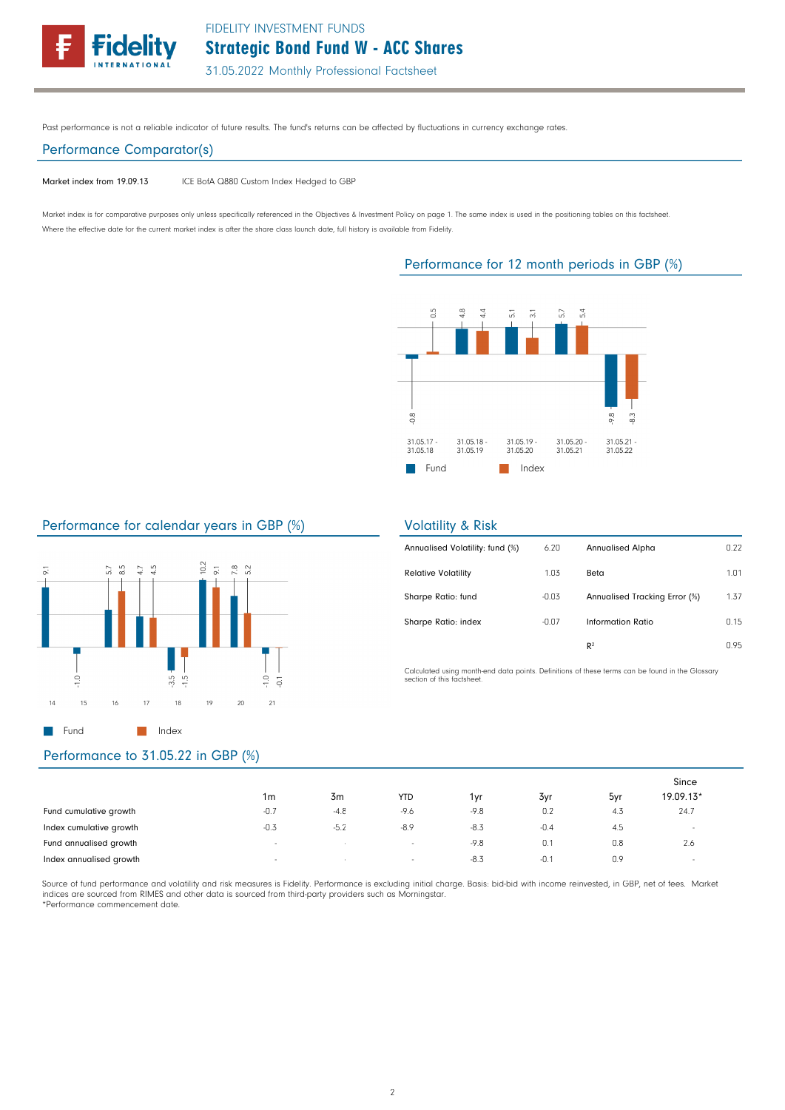

Past performance is not a reliable indicator of future results. The fund's returns can be affected by fluctuations in currency exchange rates.

## Performance Comparator(s)

Market index from 19.09.13 ICE BofA Q880 Custom Index Hedged to GBP

Market index is for comparative purposes only unless specifically referenced in the Objectives & Investment Policy on page 1. The same index is used in the positioning tables on this factsheet. Where the effective date for the current market index is after the share class launch date, full history is available from Fidelity.

## Performance for 12 month periods in GBP (%)



## Performance for calendar years in GBP (%)



### Volatility & Risk

| Annualised Volatility: fund (%) | 6.20    | <b>Annualised Alpha</b>       | 0.22 |
|---------------------------------|---------|-------------------------------|------|
| <b>Relative Volatility</b>      | 1.03    | Beta                          | 1.01 |
| Sharpe Ratio: fund              | $-0.03$ | Annualised Tracking Error (%) | 1.37 |
| Sharpe Ratio: index             | $-0.07$ | Information Ratio             | 0.15 |
|                                 |         | $\mathbb{R}^2$                | 0.95 |

Calculated using month-end data points. Definitions of these terms can be found in the Glossary section of this factsheet.

|                         | 1m     | 3m       | <b>YTD</b> | 1yr    | 3yr    | 5yr | Since<br>19.09.13* |  |
|-------------------------|--------|----------|------------|--------|--------|-----|--------------------|--|
| Fund cumulative growth  | $-0.7$ | $-4.8$   | -9.6       | $-9.8$ | 0.2    | 4.3 | 24.7               |  |
| Index cumulative growth | $-0.3$ | $-5.2$   | $-8.9$     | $-8.3$ | $-0.4$ | 4.5 | $\sim$             |  |
| Fund annualised growth  | $\sim$ | <b>.</b> | $\sim$     | $-9.8$ | 0.1    | 0.8 | 2.6                |  |
| Index annualised growth | $\sim$ | $\sim$   | $\sim$     | $-8.3$ | $-0.1$ | 0.9 | $\sim$             |  |

Source of fund performance and volatility and risk measures is Fidelity. Performance is excluding initial charge. Basis: bid-bid with income reinvested, in GBP, net of fees. Market indices are sourced from RIMES and other data is sourced from third-party providers such as Morningstar. \*Performance commencement date.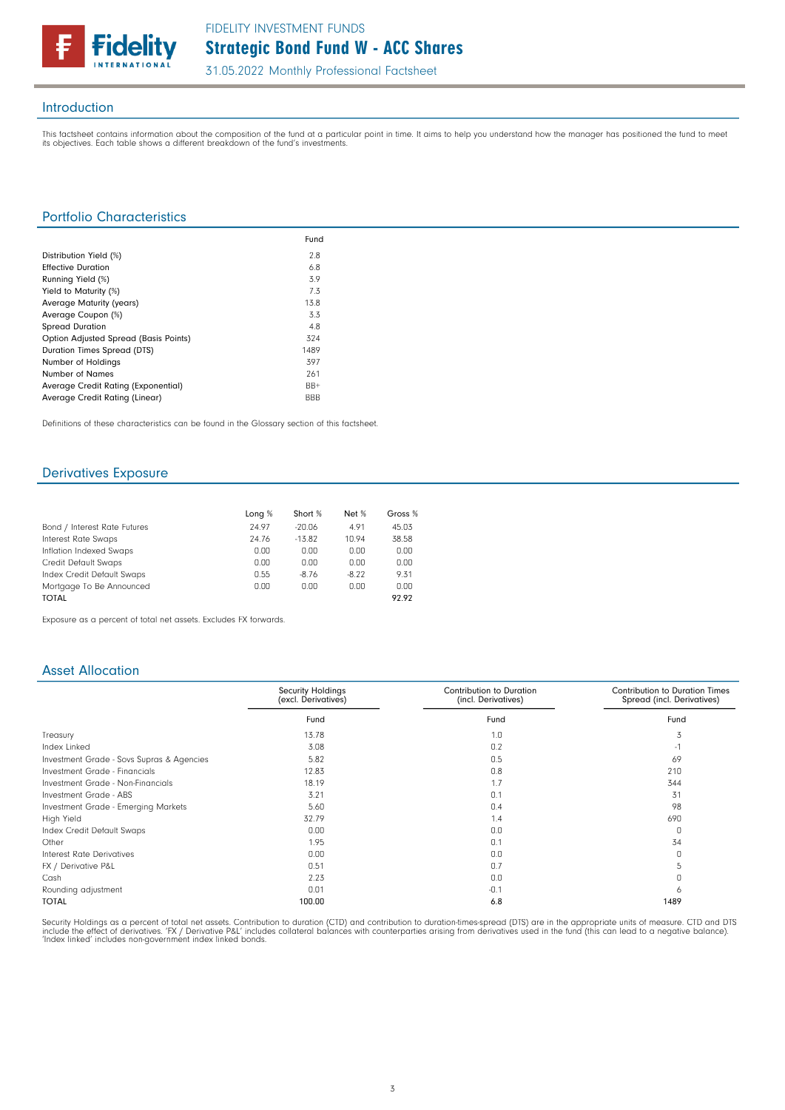

## Introduction

This factsheet contains information about the composition of the fund at a particular point in time. It aims to help you understand how the manager has positioned the fund to meet<br>its objectives. Each table shows a differe

## Portfolio Characteristics

|                                       | Fund       |
|---------------------------------------|------------|
| Distribution Yield (%)                | 2.8        |
| <b>Effective Duration</b>             | 6.8        |
| Running Yield (%)                     | 3.9        |
| Yield to Maturity (%)                 | 7.3        |
| Average Maturity (years)              | 13.8       |
| Average Coupon (%)                    | 3.3        |
| <b>Spread Duration</b>                | 4.8        |
| Option Adjusted Spread (Basis Points) | 324        |
| <b>Duration Times Spread (DTS)</b>    | 1489       |
| Number of Holdings                    | 397        |
| Number of Names                       | 261        |
| Average Credit Rating (Exponential)   | $BB+$      |
| Average Credit Rating (Linear)        | <b>BBB</b> |

Definitions of these characteristics can be found in the Glossary section of this factsheet.

## Derivatives Exposure

|                              | Long % | Short %  | Net %   | Gross % |
|------------------------------|--------|----------|---------|---------|
| Bond / Interest Rate Futures | 24.97  | $-20.06$ | 4.91    | 45.03   |
| Interest Rate Swaps          | 24.76  | $-13.82$ | 10.94   | 38.58   |
| Inflation Indexed Swaps      | 0.00   | 0.00     | 0.00    | 0.00    |
| Credit Default Swaps         | 0.00   | 0.00     | 0.00    | 0.00    |
| Index Credit Default Swaps   | 0.55   | $-8.76$  | $-8.22$ | 9.31    |
| Mortgage To Be Announced     | 0.00   | 0.00     | 0.00    | 0.00    |
| <b>TOTAL</b>                 |        |          |         | 92.92   |

Exposure as a percent of total net assets. Excludes FX forwards.

## Asset Allocation

|                                           | <b>Security Holdings</b><br>(excl. Derivatives) | Contribution to Duration<br>(incl. Derivatives) | <b>Contribution to Duration Times</b><br>Spread (incl. Derivatives) |
|-------------------------------------------|-------------------------------------------------|-------------------------------------------------|---------------------------------------------------------------------|
|                                           | Fund                                            | Fund                                            | Fund                                                                |
| Treasury                                  | 13.78                                           | 1.0                                             | 3                                                                   |
| Index Linked                              | 3.08                                            | 0.2                                             | $-1$                                                                |
| Investment Grade - Sovs Supras & Agencies | 5.82                                            | 0.5                                             | 69                                                                  |
| Investment Grade - Financials             | 12.83                                           | 0.8                                             | 210                                                                 |
| Investment Grade - Non-Financials         | 18.19                                           | 1.7                                             | 344                                                                 |
| Investment Grade - ABS                    | 3.21                                            | 0.1                                             | 31                                                                  |
| Investment Grade - Emerging Markets       | 5.60                                            | 0.4                                             | 98                                                                  |
| High Yield                                | 32.79                                           | 1.4                                             | 690                                                                 |
| Index Credit Default Swaps                | 0.00                                            | 0.0                                             | 0                                                                   |
| Other                                     | 1.95                                            | 0.1                                             | 34                                                                  |
| Interest Rate Derivatives                 | 0.00                                            | 0.0                                             | $\Omega$                                                            |
| FX / Derivative P&L                       | 0.51                                            | 0.7                                             | ל.                                                                  |
| Cash                                      | 2.23                                            | 0.0                                             |                                                                     |
| Rounding adjustment                       | 0.01                                            | $-0.1$                                          | 6                                                                   |
| <b>TOTAL</b>                              | 100.00                                          | 6.8                                             | 1489                                                                |

Security Holdings as a percent of total net assets. Contribution to duration (CTD) and contribution to duration-times-spread (DTS) are in the appropriate units of measure. CTD and DTS<br>include the effect of derivatives. 'FX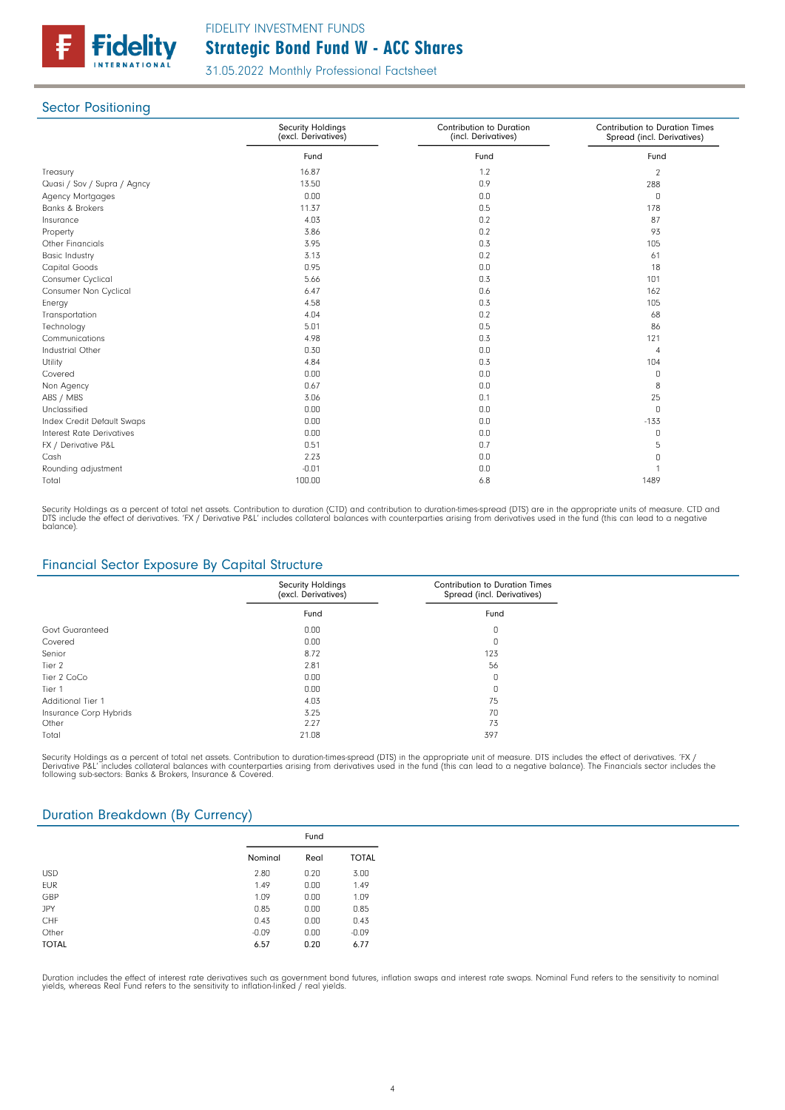

## **Sector Positioning**

|                                  | <b>Security Holdings</b><br>(excl. Derivatives) | Contribution to Duration<br>(incl. Derivatives) | <b>Contribution to Duration Times</b><br>Spread (incl. Derivatives) |
|----------------------------------|-------------------------------------------------|-------------------------------------------------|---------------------------------------------------------------------|
|                                  | Fund                                            | Fund                                            | Fund                                                                |
| Treasury                         | 16.87                                           | 1.2                                             | $\overline{2}$                                                      |
| Quasi / Sov / Supra / Agncy      | 13.50                                           | 0.9                                             | 288                                                                 |
| Agency Mortgages                 | 0.00                                            | 0.0                                             | 0                                                                   |
| <b>Banks &amp; Brokers</b>       | 11.37                                           | 0.5                                             | 178                                                                 |
| Insurance                        | 4.03                                            | 0.2                                             | 87                                                                  |
| Property                         | 3.86                                            | 0.2                                             | 93                                                                  |
| <b>Other Financials</b>          | 3.95                                            | 0.3                                             | 105                                                                 |
| <b>Basic Industry</b>            | 3.13                                            | 0.2                                             | 61                                                                  |
| Capital Goods                    | 0.95                                            | 0.0                                             | 18                                                                  |
| Consumer Cyclical                | 5.66                                            | 0.3                                             | 101                                                                 |
| Consumer Non Cyclical            | 6.47                                            | 0.6                                             | 162                                                                 |
| Energy                           | 4.58                                            | 0.3                                             | 105                                                                 |
| Transportation                   | 4.04                                            | 0.2                                             | 68                                                                  |
| Technology                       | 5.01                                            | 0.5                                             | 86                                                                  |
| Communications                   | 4.98                                            | 0.3                                             | 121                                                                 |
| Industrial Other                 | 0.30                                            | 0.0                                             | 4                                                                   |
| Utility                          | 4.84                                            | 0.3                                             | 104                                                                 |
| Covered                          | 0.00                                            | 0.0                                             | 0                                                                   |
| Non Agency                       | 0.67                                            | 0.0                                             | 8                                                                   |
| ABS / MBS                        | 3.06                                            | 0.1                                             | 25                                                                  |
| Unclassified                     | 0.00                                            | 0.0                                             | 0                                                                   |
| Index Credit Default Swaps       | 0.00                                            | 0.0                                             | $-133$                                                              |
| <b>Interest Rate Derivatives</b> | 0.00                                            | 0.0                                             | 0                                                                   |
| FX / Derivative P&L              | 0.51                                            | 0.7                                             | 5                                                                   |
| Cash                             | 2.23                                            | 0.0                                             | 0                                                                   |
| Rounding adjustment              | $-0.01$                                         | 0.0                                             |                                                                     |
| Total                            | 100.00                                          | 6.8                                             | 1489                                                                |

Security Holdings as a percent of total net assets. Contribution to duration (CTD) and contribution to duration-times-spread (DTS) are in the appropriate units of measure. CTD and<br>DTS include the effect of derivatives. 'FX balance).

## Financial Sector Exposure By Capital Structure

|                        | <b>Security Holdings</b><br>(excl. Derivatives) | <b>Contribution to Duration Times</b><br>Spread (incl. Derivatives) |
|------------------------|-------------------------------------------------|---------------------------------------------------------------------|
|                        | Fund                                            | Fund                                                                |
| Govt Guaranteed        | 0.00                                            | 0                                                                   |
| Covered                | 0.00                                            | 0                                                                   |
| Senior                 | 8.72                                            | 123                                                                 |
| Tier 2                 | 2.81                                            | 56                                                                  |
| Tier 2 CoCo            | 0.00                                            | 0                                                                   |
| Tier 1                 | 0.00                                            | 0                                                                   |
| Additional Tier 1      | 4.03                                            | 75                                                                  |
| Insurance Corp Hybrids | 3.25                                            | 70                                                                  |
| Other                  | 2.27                                            | 73                                                                  |
| Total                  | 21.08                                           | 397                                                                 |

Security Holdings as a percent of total net assets. Contribution to duration-times-spread (DTS) in the appropriate unit of measure. DTS includes the effect of derivatives. 'FX /<br>Derivative P&L' includes collateral balances

## Duration Breakdown (By Currency)

|              | Fund    |      |              |
|--------------|---------|------|--------------|
|              | Nominal | Real | <b>TOTAL</b> |
| <b>USD</b>   | 2.80    | 0.20 | 3.00         |
| <b>EUR</b>   | 1.49    | 0.00 | 1.49         |
| GBP          | 1.09    | 0.00 | 1.09         |
| <b>JPY</b>   | 0.85    | 0.00 | 0.85         |
| CHF          | 0.43    | 0.00 | 0.43         |
| Other        | $-0.09$ | 0.00 | $-0.09$      |
| <b>TOTAL</b> | 6.57    | 0.20 | 6.77         |

Duration includes the effect of interest rate derivatives such as government bond futures, inflation swaps and interest rate swaps. Nominal Fund refers to the sensitivity to nomina<br>yields, whereas Real Fund refers to the s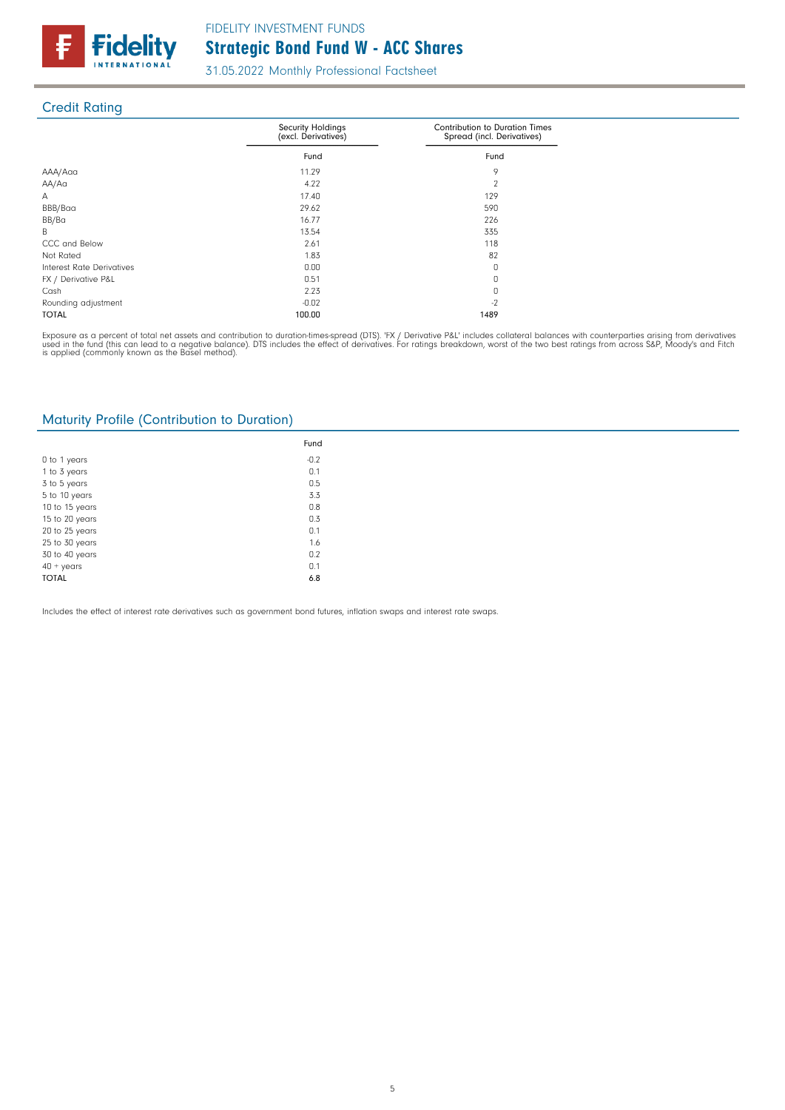

# Credit Rating

|                           | <b>Security Holdings</b><br>(excl. Derivatives) | <b>Contribution to Duration Times</b><br>Spread (incl. Derivatives) |
|---------------------------|-------------------------------------------------|---------------------------------------------------------------------|
|                           | Fund                                            | Fund                                                                |
| AAA/Aaa                   | 11.29                                           | 9                                                                   |
| AA/Aa                     | 4.22                                            | $\mathcal{P}$                                                       |
| А                         | 17.40                                           | 129                                                                 |
| BBB/Baa                   | 29.62                                           | 590                                                                 |
| BB/Ba                     | 16.77                                           | 226                                                                 |
| B                         | 13.54                                           | 335                                                                 |
| CCC and Below             | 2.61                                            | 118                                                                 |
| Not Rated                 | 1.83                                            | 82                                                                  |
| Interest Rate Derivatives | 0.00                                            | 0                                                                   |
| FX / Derivative P&L       | 0.51                                            | 0                                                                   |
| Cash                      | 2.23                                            | 0                                                                   |
| Rounding adjustment       | $-0.02$                                         | $-2$                                                                |
| <b>TOTAL</b>              | 100.00                                          | 1489                                                                |

Exposure as a percent of total net assets and contribution to duration-times-spread (DTS). 'FX / Derivative P&L' includes collateral balances with counterparties arising from derivatives<br>used in the fund (this can lead to

## Maturity Profile (Contribution to Duration)

|                    | Fund   |
|--------------------|--------|
| 0 to 1 years       | $-0.2$ |
| 1 to 3 years       | 0.1    |
| 3 to 5 years       | 0.5    |
| 5 to 10 years      | 3.3    |
| 10 to 15 years     | 0.8    |
| 15 to 20 years     | 0.3    |
| 20 to 25 years     | 0.1    |
| 25 to 30 years     | 1.6    |
| 30 to 40 years     | 0.2    |
| $40 + \gamma$ ears | 0.1    |
| <b>TOTAL</b>       | 6.8    |

Includes the effect of interest rate derivatives such as government bond futures, inflation swaps and interest rate swaps.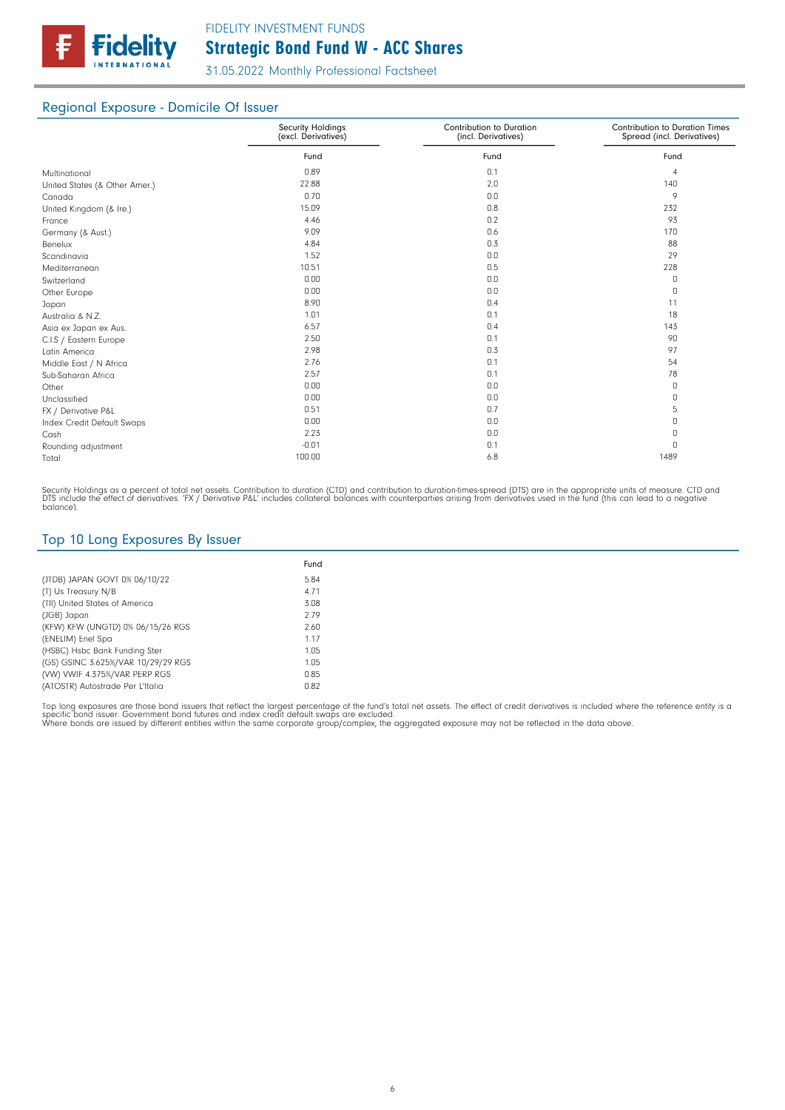

# Regional Exposure - Domicile Of Issuer

|                               | <b>Security Holdings</b><br>(excl. Derivatives) | Contribution to Duration<br>(incl. Derivatives) | <b>Contribution to Duration Times</b><br>Spread (incl. Derivatives) |
|-------------------------------|-------------------------------------------------|-------------------------------------------------|---------------------------------------------------------------------|
|                               | Fund                                            | Fund                                            | Fund                                                                |
| Multinational                 | 0.89                                            | 0.1                                             | 4                                                                   |
| United States (& Other Amer.) | 22.88                                           | 2.0                                             | 140                                                                 |
| Canada                        | 0.70                                            | 0.0                                             | 9                                                                   |
| United Kingdom (& Ire.)       | 15.09                                           | 0.8                                             | 232                                                                 |
| France                        | 4.46                                            | 0.2                                             | 93                                                                  |
| Germany (& Aust.)             | 9.09                                            | 0.6                                             | 170                                                                 |
| Benelux                       | 4.84                                            | 0.3                                             | 88                                                                  |
| Scandinavia                   | 1.52                                            | 0.0                                             | 29                                                                  |
| Mediterranean                 | 10.51                                           | 0.5                                             | 228                                                                 |
| Switzerland                   | 0.00                                            | 0.0                                             | 0                                                                   |
| Other Europe                  | 0.00                                            | 0.0                                             | 0                                                                   |
| Japan                         | 8.90                                            | 0.4                                             | 11                                                                  |
| Australia & N.Z.              | 1.01                                            | 0.1                                             | 18                                                                  |
| Asia ex Japan ex Aus.         | 6.57                                            | 0.4                                             | 143                                                                 |
| C.I.S / Eastern Europe        | 2.50                                            | 0.1                                             | 90                                                                  |
| Latin America                 | 2.98                                            | 0.3                                             | 97                                                                  |
| Middle East / N Africa        | 2.76                                            | 0.1                                             | 54                                                                  |
| Sub-Saharan Africa            | 2.57                                            | 0.1                                             | 78                                                                  |
| Other                         | 0.00                                            | 0.0                                             | 0                                                                   |
| Unclassified                  | 0.00                                            | 0.0                                             | 0                                                                   |
| FX / Derivative P&L           | 0.51                                            | 0.7                                             | 5                                                                   |
| Index Credit Default Swaps    | 0.00                                            | 0.0                                             | 0                                                                   |
| Cash                          | 2.23                                            | 0.0                                             | 0                                                                   |
| Rounding adjustment           | $-0.01$                                         | 0.1                                             | 0                                                                   |
| Total                         | 100.00                                          | 6.8                                             | 1489                                                                |

Security Holdings as a percent of total net assets. Contribution to duration (CTD) and contribution to duration-times-spread (DTS) are in the appropriate units of measure. CTD and<br>DTS include the effect of derivatives. 'FX

## Top 10 Long Exposures By Issuer

|                                    | Fund |
|------------------------------------|------|
| (JTDB) JAPAN GOVT 0% 06/10/22      | 5.84 |
| (T) Us Treasury N/B                | 4.71 |
| (TII) United States of America     | 3.08 |
| (JGB) Japan                        | 2.79 |
| (KFW) KFW (UNGTD) 0% 06/15/26 RGS  | 2.60 |
| (ENELIM) Enel Spa                  | 1.17 |
| (HSBC) Hsbc Bank Funding Ster      | 1.05 |
| (GS) GSINC 3.625%/VAR 10/29/29 RGS | 1.05 |
| (VW) VWIF 4.375%/VAR PERP RGS      | 0.85 |
| (ATOSTR) Autostrade Per L'Italia   | 0.82 |

Top long exposures are those bond issuers that reflect the largest percentage of the fund's total net assets. The effect of credit derivatives is included where the reference entity is a<br>specific bond issuer. Government bo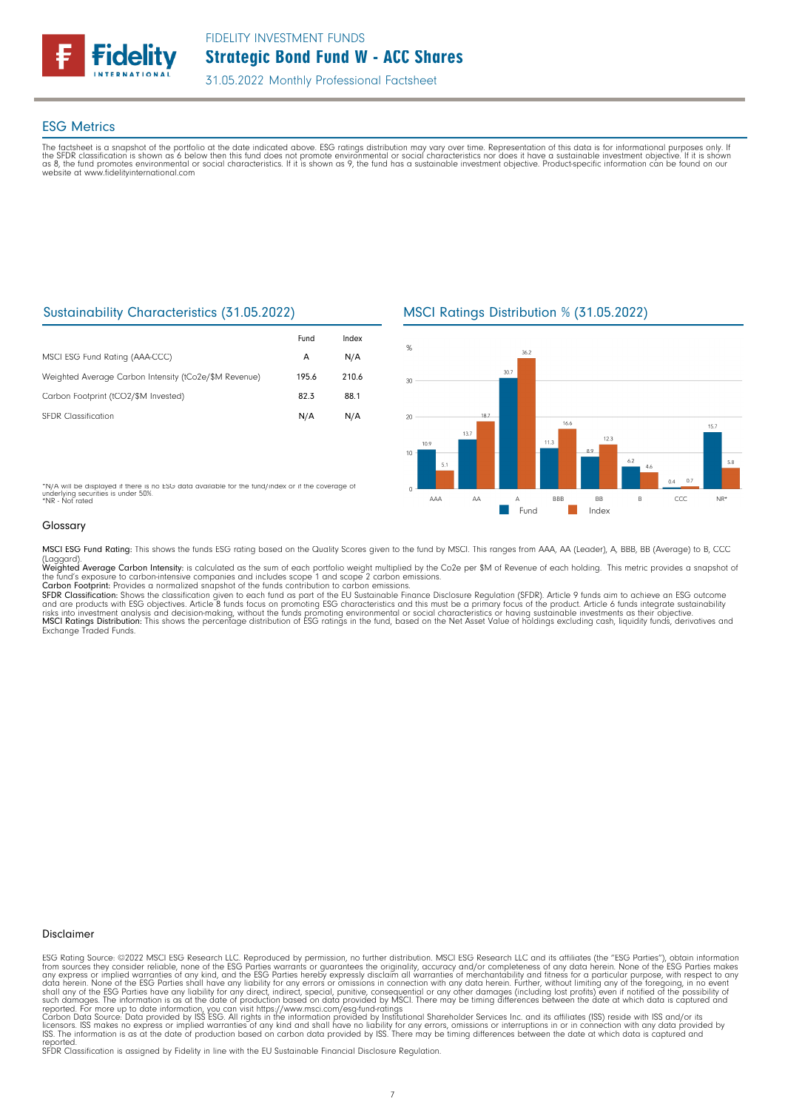

## ESG Metrics

The factsheet is a snapshot of the portfolio at the date indicated above. ESG ratings distribution may vary over time. Representation of this data is for informational purposes only. If<br>the SFDR classification is shown as website at www.fidelityinternational.com

## Sustainability Characteristics (31.05.2022)

|                                                       | Fund  | Index |
|-------------------------------------------------------|-------|-------|
| MSCI ESG Fund Rating (AAA-CCC)                        | А     | N/A   |
| Weighted Average Carbon Intensity (tCo2e/\$M Revenue) | 195.6 | 210.6 |
| Carbon Footprint (tCO2/\$M Invested)                  | 82.3  | 88.1  |
| <b>SEDR</b> Classification                            | N/A   | N/A   |

\*N/A will be displayed if there is no ESG data available for the fund/index or if the coverage of underlying securities is under 50%. \*NR - Not rated

## MSCI Ratings Distribution % (31.05.2022)



### Glossary

MSCI ESG Fund Rating: This shows the funds ESG rating based on the Quality Scores given to the fund by MSCI. This ranges from AAA, AA (Leader), A, BBB, BB (Average) to B, CCC

(Laggard).<br>**Weighted Average Carbon Intensity**: is calculated as the sum of each portfolio weight multiplied by the Co2e per \$M of Revenue of each holding. This metric provides a snapshot o the fund's exposure to carbon-intensive companies and includes scope 1 and scope 2 carbon emissions.<br>**Carbon Footprint**: Provides a normalized snapshot of the funds contribution to carbon emissions.

SFDR Classification: Shows the classification given to each fund as part of the EU Sustainable Finance Disclosure Regulation (SFDR). Article 9 funds aim to achieve an ESG outcome and are products with ESG objectives. Article 8 funds focus on promoting ESG characteristics and this must be a primary focus of the product. Article 6 funds integrate sustainability<br>risks into investment analysis and deci Exchange Traded Funds.

### Disclaimer

ESG Rating Source: ©2022 MSCI ESG Research LLC. Reproduced by permission, no further distribution. MSCI ESG Research LLC and its affiliates (the "ESG Parties"), obtain information<br>from sources they consider reliable, none

reported. SFDR Classification is assigned by Fidelity in line with the EU Sustainable Financial Disclosure Regulation.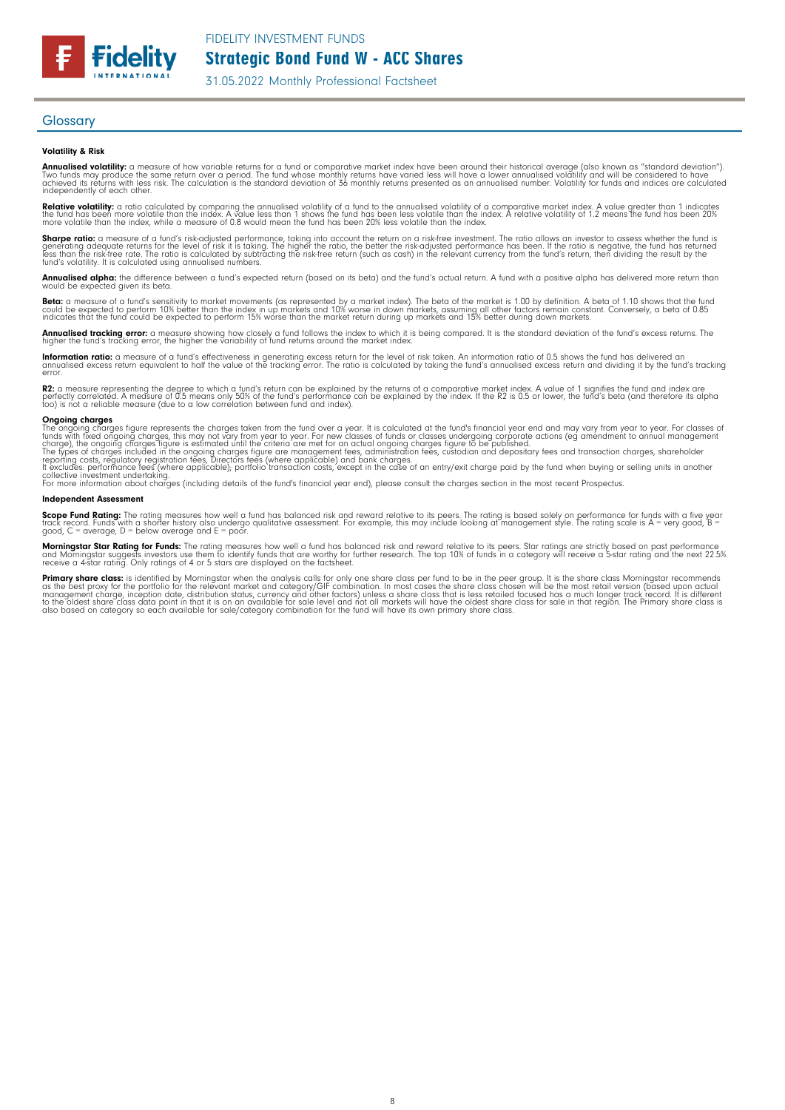FIDELITY INVESTMENT FUNDS

Strategic Bond Fund W - ACC Shares

31.05.2022 Monthly Professional Factsheet

### **Glossary**

**Fidelity** 

### Volatility & Risk

**Annualised volatility:** a measure of how variable returns for a fund or comparative market index have been around their historical average (also known as "standard deviation").<br>Two funds may produce the same return over a independently of each other.

**Relative volatility:** a ratio calculated by comparing the annualised volatility of a fund to the annualised volatility of a comparative market index. A value greater than 1 indicates<br>the fund has been more volatile than t

**Sharpe ratio:** a measure of a fund's risk-adjusted performance, taking into account the return on a risk-free investment. The ratio allows an investor to assess whether the fund is<br>generating adequate returns for the leve

### Annualised alpha: the difference between a fund's expected return (based on its beta) and the fund's actual return. A fund with a positive alpha has delivered more return than would be expected given its beta.

**Beta:** a measure of a fund's sensitivity to market movements (as represented by a market index). The beta of the market is 1.00 by definition. A beta of 1.10 shows that the fund<br>could be expected to perform 10% better tha

**Annualised tracking error:** a measure showing how closely a fund follows the index to which it is being compared. It is the standard deviation of the fund's excess returns. The<br>higher the fund's tracking error, the higher

**Information ratio:** a measure of a fund's effectiveness in generating excess return for the level of risk taken. An information ratio of 0.5 shows the fund has delivered an<br>annualised excess return equivalent to half the

**R2:** a measure representing the degree to which a fund's return can be explained by the returns of a comparative market index. A value of 1 signifies the fund and index are<br>perfectly correlated. A measure (due to a low co

**Ongoing charges**<br>file ongoing charges figure represents the charges taken from the fund over a year. It is calculated at the fund's financial year end and may vary from year to year. For classes of<br>The ongoing charges fig

### Independent Assessment

**Scope Fund Rating:** The rating measures how well a fund has balanced risk and reward relative to its peers. The rating is based solely on performance for funds with a five year<br>track record. Funds with a shorter history a

**Morningstar Star Rating for Funds:** The rating measures how well a fund has balanced risk and reward relative to its peers. Star ratings are strictly based on past performance<br>and Morningstar suggests investors use them t

**Primary share class**: is identified by Morningstar when the analysis calls for only one share class per fund to be in the peer group. It is the share class chosen will be the most recommends of the share class of the shar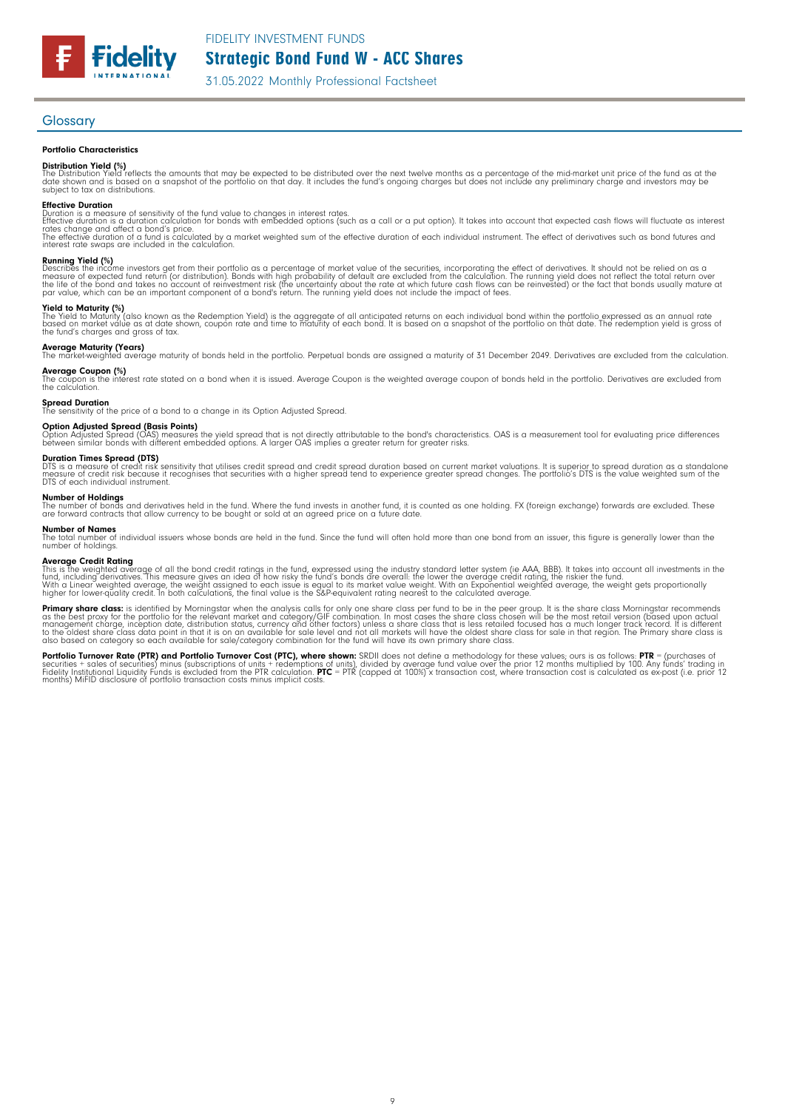FIDELITY INVESTMENT FUNDS

Strategic Bond Fund W - ACC Shares

31.05.2022 Monthly Professional Factsheet

### **Glossary**

### Portfolio Characteristics

**Fidelity** 

**Distribution Yield (%)**<br>The Distribution Yield reflects the amounts that may be expected to be distributed over the next twelve months as a percentage of the mid-market unit price of the fund as at the<br>date shown and is b subject to tax on distributions.

**Effective Duration**<br>Duration is a measure of sensitivity of the fund value to changes in interest rates.<br>Effective duration is a duration calculation for bonds with embedded options (such as a call or a put option). It ta

**Running Yield (%)**<br>Describes the income investors get from their portfolio as a percentage of market value of the securities, incorporating the effect of derivatives. It should not be relied on as a<br>measure of expected fu

**Yield to Maturity (%)**<br>The Yield to Maturity (also known as the Redemption Yield) is the aggregate of all anticipated returns on each individual bond within the portfolio expressed as an annual rate<br>based on market value

**Average Maturity (Years)**<br>The market-weighted average maturity of bonds held in the portfolio. Perpetual bonds are assigned a maturity of 31 December 2049. Derivatives are excluded from the calculation.

**Average Coupon (%)**<br>The coupon is the interest rate stated on a bond when it is issued. Average Coupon is the weighted average coupon of bonds held in the portfolio. Derivatives are excluded from<br>the calculation.

**Spread Duration**<br>The sensitivity of the price of a bond to a change in its Option Adjusted Spread.

**Option Adjusted Spread (Basis Points)**<br>Option Adjusted Spread (OAS) measures the yield spread that is not directly attributable to the bond's characteristics. OAS is a measurement tool for evaluating price differences<br>bet

**Duration Times Spread (DTS)**<br>DTS is a measure of credit risk sensitivity that utilises credit spread and credit spread duration based on current market valuations. It is superior to spread duration as a standalone<br>measure

## Number of Holdings

The number of bonds and derivatives held in the fund. Where the fund invests in another fund, it is counted as one holding. FX (foreign exchange) forwards are excluded. These<br>are forward contracts that allow currency to be

**Number of Names**<br>The total number of individual issuers whose bonds are held in the fund. Since the fund will often hold more than one bond from an issuer, this figure is generally lower than the<br>number of holdings.

**Average Credit Rating**<br>This is the weighted average of all the bond credit ratings in the fund, expressed using the industry standard letter system (ie AAA, BBB). It takes into account all investments in the<br>fund, includi

**Primary share class**: is identified by Morningstar when the analysis calls for only one share class per fund to be in the peer group. It is the share class hormingstar recommends<br>as the best proxy for the portfolio for th

**Portfolio Turnover Rate (PTR) and Portfolio Turnover Cost (PTC), where shown:** SRDII does not define a methodology for these values; ours is as follows: **PTR** = (purchases of<br>securities + sales of securities) minus (subsc